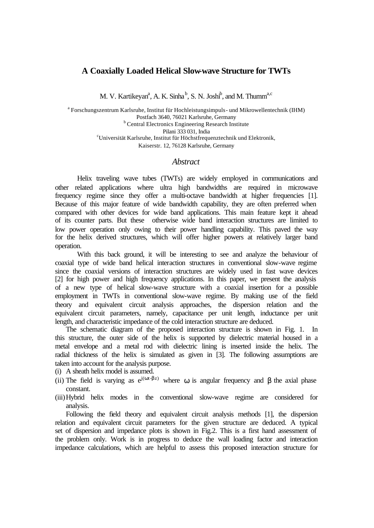## **A Coaxially Loaded Helical Slow-wave Structure for TWTs**

M. V. Kartikeyan<sup>a</sup>, A. K. Sinha<sup>b</sup>, S. N. Joshi<sup>b</sup>, and M. Thumm<sup>a,c</sup>

<sup>a</sup> Forschungszentrum Karlsruhe, Institut für Hochleistungsimpuls - und Mikrowellentechnik (IHM) Postfach 3640, 76021 Karlsruhe, Germany **b** Central Electronics Engineering Research Institute Pilani 333 031, India <sup>c</sup>Universität Karlsruhe, Institut für Höchstfrequenztechnik und Elektronik, Kaiserstr. 12, 76128 Karlsruhe, Germany

## *Abstract*

Helix traveling wave tubes (TWTs) are widely employed in communications and other related applications where ultra high bandwidths are required in microwave frequency regime since they offer a multi-octave bandwidth at higher frequencies [1]. Because of this major feature of wide bandwidth capability, they are often preferred when compared with other devices for wide band applications. This main feature kept it ahead of its counter parts. But these otherwise wide band interaction structures are limited to low power operation only owing to their power handling capability. This paved the way for the helix derived structures, which will offer higher powers at relatively larger band operation.

With this back ground, it will be interesting to see and analyze the behaviour of coaxial type of wide band helical interaction structures in conventional slow-wave regime since the coaxial versions of interaction structures are widely used in fast wave devices [2] for high power and high frequency applications. In this paper, we present the analysis of a new type of helical slow-wave structure with a coaxial insertion for a possible employment in TWTs in conventional slow-wave regime. By making use of the field theory and equivalent circuit analysis approaches, the dispersion relation and the equivalent circuit parameters, namely, capacitance per unit length, inductance per unit length, and characteristic impedance of the cold interaction structure are deduced.

The schematic diagram of the proposed interaction structure is shown in Fig. 1. In this structure, the outer side of the helix is supported by dielectric material housed in a metal envelope and a metal rod with dielectric lining is inserted inside the helix. The radial thickness of the helix is simulated as given in [3]. The following assumptions are taken into account for the analysis purpose.

- (i) A sheath helix model is assumed.
- (ii) The field is varying as  $e^{j(\omega t \beta z)}$  where  $\omega$  is angular frequency and  $\beta$  the axial phase constant.
- (iii)Hybrid helix modes in the conventional slow-wave regime are considered for analysis.

Following the field theory and equivalent circuit analysis methods [1], the dispersion relation and equivalent circuit parameters for the given structure are deduced. A typical set of dispersion and impedance plots is shown in Fig.2. This is a first hand assessment of the problem only. Work is in progress to deduce the wall loading factor and interaction impedance calculations, which are helpful to assess this proposed interaction structure for